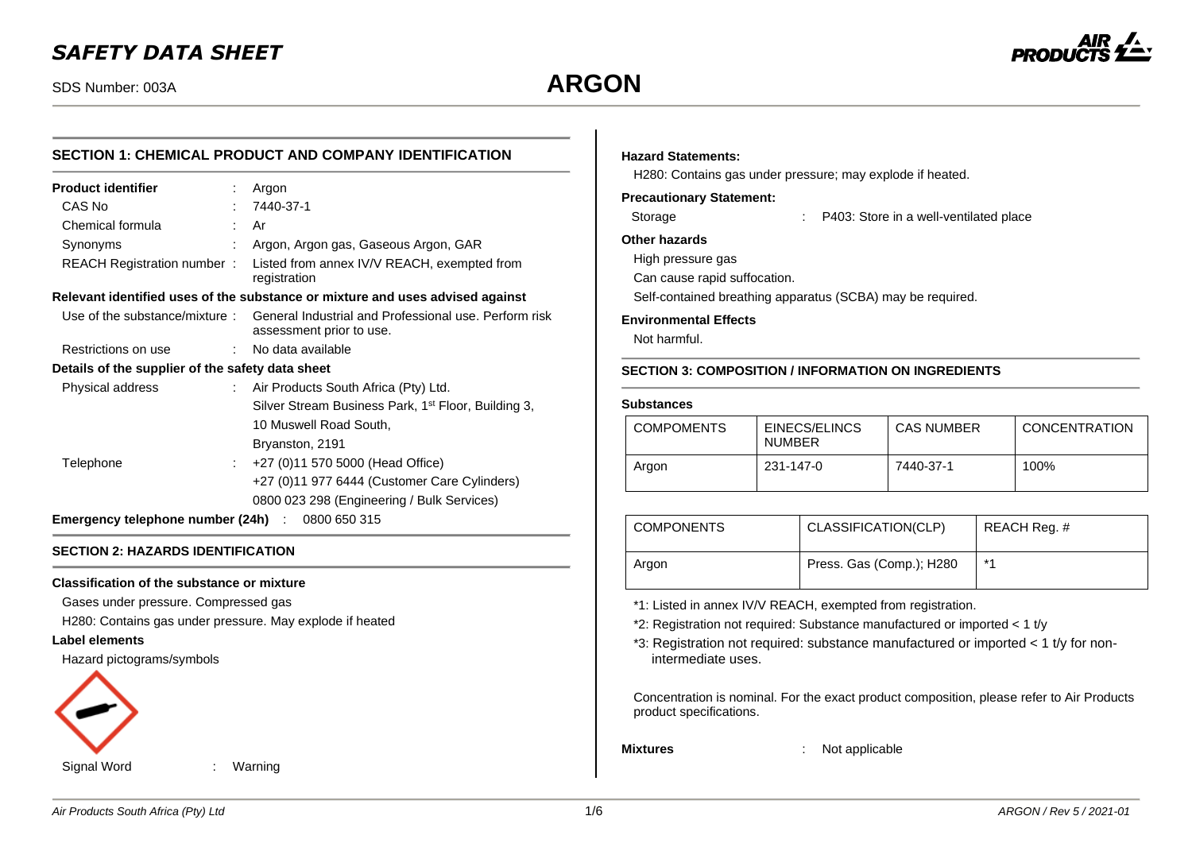# *SAFETY DATA SHEET*



## **SECTION 1: CHEMICAL PRODUCT AND COMPANY IDENTIFICATION**

| <b>Product identifier</b>                              |    | Argon                                                                                                           |  |
|--------------------------------------------------------|----|-----------------------------------------------------------------------------------------------------------------|--|
| CAS No                                                 |    | 7440-37-1                                                                                                       |  |
| Chemical formula                                       | t. | Ar                                                                                                              |  |
| Synonyms                                               |    | Argon, Argon gas, Gaseous Argon, GAR                                                                            |  |
| REACH Registration number:                             |    | Listed from annex IV/V REACH, exempted from<br>registration                                                     |  |
|                                                        |    | Relevant identified uses of the substance or mixture and uses advised against                                   |  |
|                                                        |    | Use of the substance/mixture: General Industrial and Professional use. Perform risk<br>assessment prior to use. |  |
| Restrictions on use                                    | t. | No data available                                                                                               |  |
| Details of the supplier of the safety data sheet       |    |                                                                                                                 |  |
| Physical address                                       |    | : Air Products South Africa (Pty) Ltd.                                                                          |  |
|                                                        |    | Silver Stream Business Park, 1 <sup>st</sup> Floor, Building 3,                                                 |  |
|                                                        |    | 10 Muswell Road South,                                                                                          |  |
|                                                        |    | Bryanston, 2191                                                                                                 |  |
| Telephone                                              |    | +27 (0)11 570 5000 (Head Office)                                                                                |  |
|                                                        |    | +27 (0)11 977 6444 (Customer Care Cylinders)                                                                    |  |
|                                                        |    | 0800 023 298 (Engineering / Bulk Services)                                                                      |  |
| <b>Emergency telephone number (24h)</b> : 0800 650 315 |    |                                                                                                                 |  |

#### **SECTION 2: HAZARDS IDENTIFICATION**

#### **Classification of the substance or mixture**

Gases under pressure. Compressed gas

H280: Contains gas under pressure. May explode if heated

## **Label elements**

Hazard pictograms/symbols



## **Hazard Statements:**

H280: Contains gas under pressure; may explode if heated.

## **Precautionary Statement:**

| Storage | P403: Store in a well-ventilated place |
|---------|----------------------------------------|
|---------|----------------------------------------|

#### **Other hazards**

High pressure gas

Can cause rapid suffocation.

Self-contained breathing apparatus (SCBA) may be required.

#### **Environmental Effects**

Not harmful.

#### **SECTION 3: COMPOSITION / INFORMATION ON INGREDIENTS**

#### **Substances**

| <b>COMPOMENTS</b> | EINECS/ELINCS<br><b>NUMBER</b> | <b>CAS NUMBER</b> | <b>CONCENTRATION</b> |
|-------------------|--------------------------------|-------------------|----------------------|
| Argon             | 231-147-0                      | 7440-37-1         | 100%                 |

| <b>COMPONENTS</b> | CLASSIFICATION(CLP)      | REACH Reg. # |
|-------------------|--------------------------|--------------|
| Argon             | Press. Gas (Comp.); H280 | $*$          |

\*1: Listed in annex IV/V REACH, exempted from registration.

\*2: Registration not required: Substance manufactured or imported < 1 t/y

\*3: Registration not required: substance manufactured or imported < 1 t/y for nonintermediate uses.

Concentration is nominal. For the exact product composition, please refer to Air Products product specifications.

**Mixtures** : Not applicable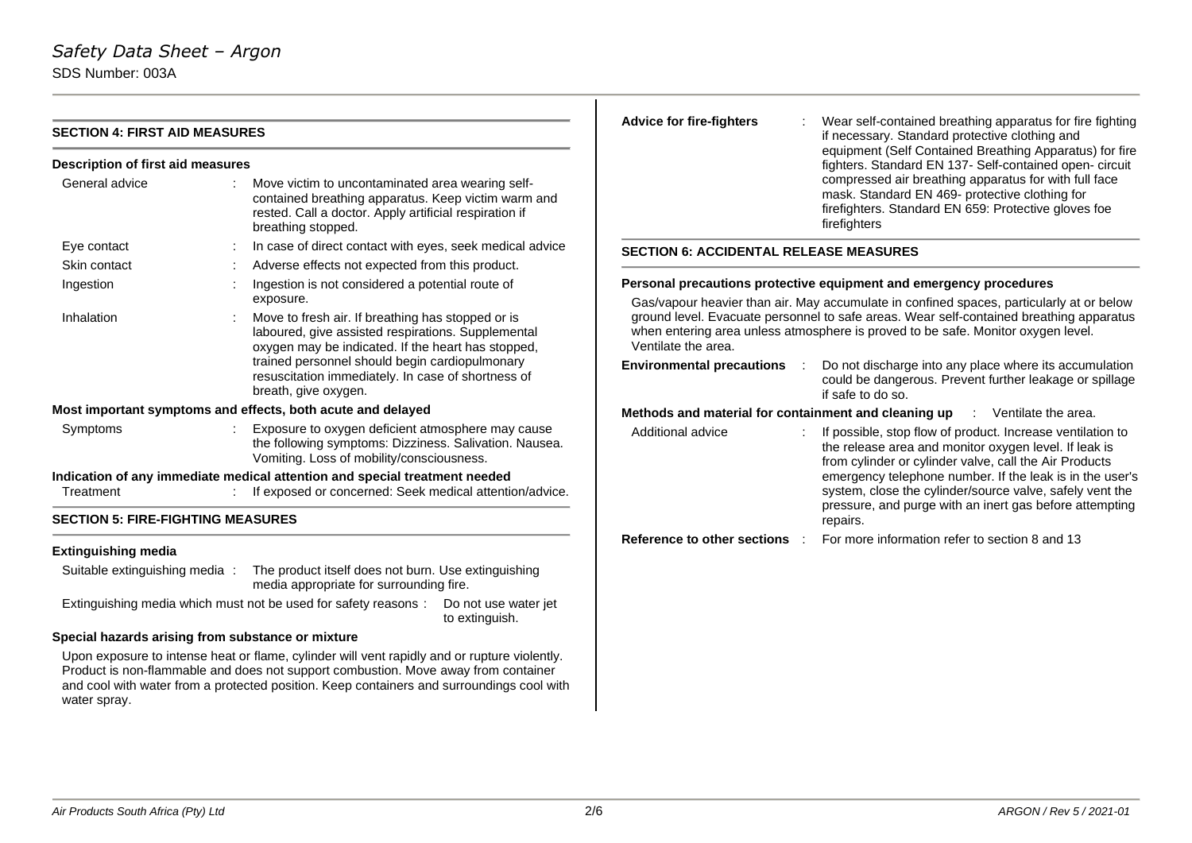| <b>SECTION 4: FIRST AID MEASURES</b>     |                                                                                                                                                                                         | <b>Advice for fire-fighters</b>               | Wear self-contained breathing apparatus for fire fighting<br>if necessary. Standard protective clothing and                                                                     |  |  |  |
|------------------------------------------|-----------------------------------------------------------------------------------------------------------------------------------------------------------------------------------------|-----------------------------------------------|---------------------------------------------------------------------------------------------------------------------------------------------------------------------------------|--|--|--|
| <b>Description of first aid measures</b> |                                                                                                                                                                                         |                                               | equipment (Self Contained Breathing Apparatus) for fire<br>fighters. Standard EN 137- Self-contained open- circuit                                                              |  |  |  |
| General advice                           | Move victim to uncontaminated area wearing self-<br>contained breathing apparatus. Keep victim warm and<br>rested. Call a doctor. Apply artificial respiration if<br>breathing stopped. |                                               | compressed air breathing apparatus for with full face<br>mask. Standard EN 469- protective clothing for<br>firefighters. Standard EN 659: Protective gloves foe<br>firefighters |  |  |  |
| Eye contact                              | In case of direct contact with eyes, seek medical advice                                                                                                                                | <b>SECTION 6: ACCIDENTAL RELEASE MEASURES</b> |                                                                                                                                                                                 |  |  |  |
| Skin contact                             | Adverse effects not expected from this product.                                                                                                                                         |                                               |                                                                                                                                                                                 |  |  |  |
| Ingestion                                | Ingestion is not considered a potential route of                                                                                                                                        |                                               | Personal precautions protective equipment and emergency procedures                                                                                                              |  |  |  |
|                                          | exposure.                                                                                                                                                                               |                                               | Gas/vapour heavier than air. May accumulate in confined spaces, particularly at or below                                                                                        |  |  |  |
| Inhalation                               | Move to fresh air. If breathing has stopped or is<br>laboured, give assisted respirations. Supplemental<br>oxygen may be indicated. If the heart has stopped,                           | Ventilate the area.                           | ground level. Evacuate personnel to safe areas. Wear self-contained breathing apparatus<br>when entering area unless atmosphere is proved to be safe. Monitor oxygen level.     |  |  |  |
|                                          | trained personnel should begin cardiopulmonary<br>resuscitation immediately. In case of shortness of<br>breath, give oxygen.                                                            | <b>Environmental precautions</b>              | Do not discharge into any place where its accumulation<br>could be dangerous. Prevent further leakage or spillage<br>if safe to do so.                                          |  |  |  |
|                                          | Most important symptoms and effects, both acute and delayed                                                                                                                             |                                               | Methods and material for containment and cleaning up<br>: Ventilate the area.                                                                                                   |  |  |  |
| Symptoms                                 | Exposure to oxygen deficient atmosphere may cause<br>the following symptoms: Dizziness. Salivation. Nausea.<br>Vomiting. Loss of mobility/consciousness.                                | Additional advice                             | If possible, stop flow of product. Increase ventilation to<br>the release area and monitor oxygen level. If leak is<br>from cylinder or cylinder valve, call the Air Products   |  |  |  |
| Treatment                                | Indication of any immediate medical attention and special treatment needed<br>If exposed or concerned: Seek medical attention/advice.                                                   |                                               | emergency telephone number. If the leak is in the user's<br>system, close the cylinder/source valve, safely vent the                                                            |  |  |  |
| <b>SECTION 5: FIRE-FIGHTING MEASURES</b> |                                                                                                                                                                                         |                                               | pressure, and purge with an inert gas before attempting<br>repairs.                                                                                                             |  |  |  |
| <b>Extinguishing media</b>               |                                                                                                                                                                                         | Reference to other sections :                 | For more information refer to section 8 and 13                                                                                                                                  |  |  |  |
| Suitable extinguishing media:            | The product itself does not burn. Use extinguishing<br>media appropriate for surrounding fire.                                                                                          |                                               |                                                                                                                                                                                 |  |  |  |
|                                          | Extinguishing media which must not be used for safety reasons:                                                                                                                          | Do not use water jet<br>to extinguish.        |                                                                                                                                                                                 |  |  |  |

## **Special hazards arising from substance or mixture**

Upon exposure to intense heat or flame, cylinder will vent rapidly and or rupture violently. Product is non-flammable and does not support combustion. Move away from container and cool with water from a protected position. Keep containers and surroundings cool with water spray.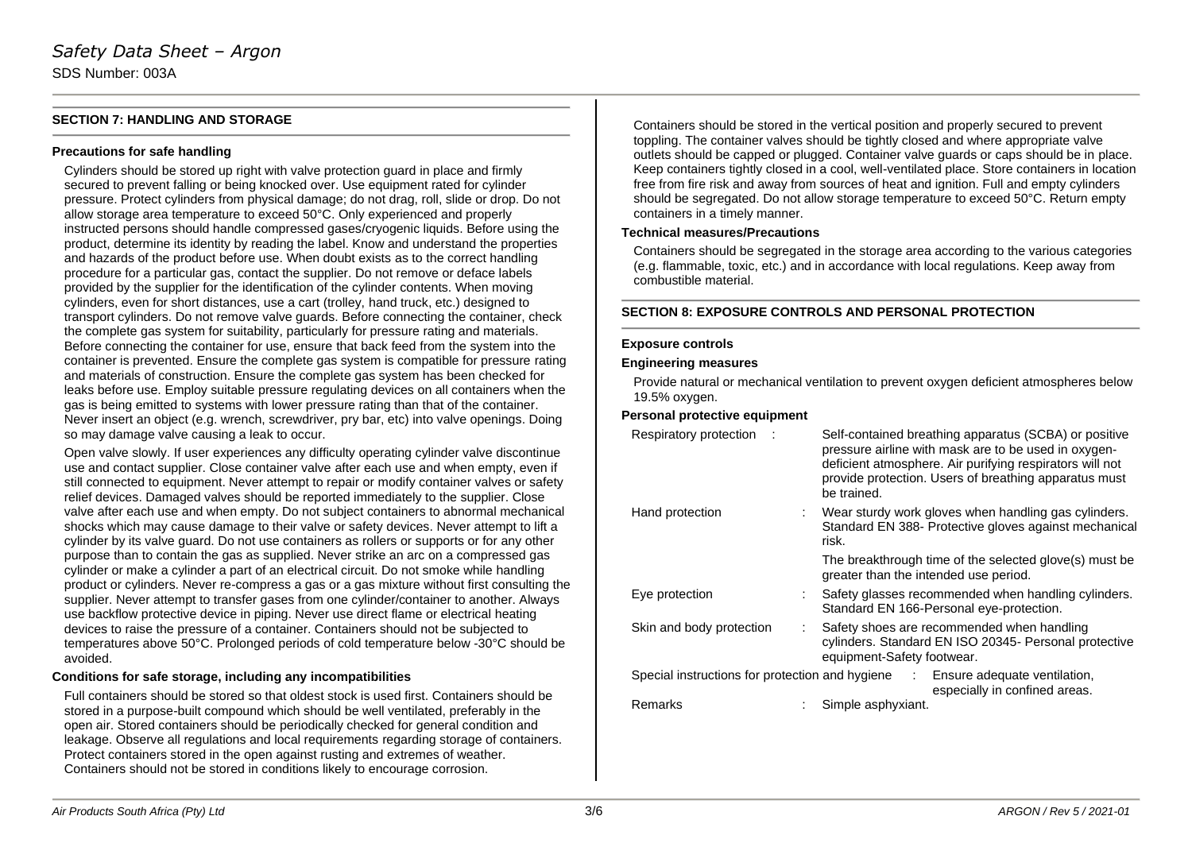## **SECTION 7: HANDLING AND STORAGE**

#### **Precautions for safe handling**

Cylinders should be stored up right with valve protection guard in place and firmly secured to prevent falling or being knocked over. Use equipment rated for cylinder pressure. Protect cylinders from physical damage; do not drag, roll, slide or drop. Do not allow storage area temperature to exceed 50°C. Only experienced and properly instructed persons should handle compressed gases/cryogenic liquids. Before using the product, determine its identity by reading the label. Know and understand the properties and hazards of the product before use. When doubt exists as to the correct handling procedure for a particular gas, contact the supplier. Do not remove or deface labels provided by the supplier for the identification of the cylinder contents. When moving cylinders, even for short distances, use a cart (trolley, hand truck, etc.) designed to transport cylinders. Do not remove valve guards. Before connecting the container, check the complete gas system for suitability, particularly for pressure rating and materials. Before connecting the container for use, ensure that back feed from the system into the container is prevented. Ensure the complete gas system is compatible for pressure rating and materials of construction. Ensure the complete gas system has been checked for leaks before use. Employ suitable pressure regulating devices on all containers when the gas is being emitted to systems with lower pressure rating than that of the container. Never insert an object (e.g. wrench, screwdriver, pry bar, etc) into valve openings. Doing so may damage valve causing a leak to occur.

Open valve slowly. If user experiences any difficulty operating cylinder valve discontinue use and contact supplier. Close container valve after each use and when empty, even if still connected to equipment. Never attempt to repair or modify container valves or safety relief devices. Damaged valves should be reported immediately to the supplier. Close valve after each use and when empty. Do not subject containers to abnormal mechanical shocks which may cause damage to their valve or safety devices. Never attempt to lift a cylinder by its valve guard. Do not use containers as rollers or supports or for any other purpose than to contain the gas as supplied. Never strike an arc on a compressed gas cylinder or make a cylinder a part of an electrical circuit. Do not smoke while handling product or cylinders. Never re-compress a gas or a gas mixture without first consulting the supplier. Never attempt to transfer gases from one cylinder/container to another. Always use backflow protective device in piping. Never use direct flame or electrical heating devices to raise the pressure of a container. Containers should not be subjected to temperatures above 50°C. Prolonged periods of cold temperature below -30°C should be avoided.

#### **Conditions for safe storage, including any incompatibilities**

Full containers should be stored so that oldest stock is used first. Containers should be stored in a purpose-built compound which should be well ventilated, preferably in the open air. Stored containers should be periodically checked for general condition and leakage. Observe all regulations and local requirements regarding storage of containers. Protect containers stored in the open against rusting and extremes of weather. Containers should not be stored in conditions likely to encourage corrosion.

Containers should be stored in the vertical position and properly secured to prevent toppling. The container valves should be tightly closed and where appropriate valve outlets should be capped or plugged. Container valve guards or caps should be in place. Keep containers tightly closed in a cool, well-ventilated place. Store containers in location free from fire risk and away from sources of heat and ignition. Full and empty cylinders should be segregated. Do not allow storage temperature to exceed 50°C. Return empty containers in a timely manner.

#### **Technical measures/Precautions**

Containers should be segregated in the storage area according to the various categories (e.g. flammable, toxic, etc.) and in accordance with local regulations. Keep away from combustible material.

#### **SECTION 8: EXPOSURE CONTROLS AND PERSONAL PROTECTION**

#### **Exposure controls**

#### **Engineering measures**

Provide natural or mechanical ventilation to prevent oxygen deficient atmospheres below 19.5% oxygen.

#### **Personal protective equipment**

| Respiratory protection                            | Self-contained breathing apparatus (SCBA) or positive<br>pressure airline with mask are to be used in oxygen-<br>deficient atmosphere. Air purifying respirators will not<br>provide protection. Users of breathing apparatus must<br>be trained. |
|---------------------------------------------------|---------------------------------------------------------------------------------------------------------------------------------------------------------------------------------------------------------------------------------------------------|
| Hand protection                                   | Wear sturdy work gloves when handling gas cylinders.<br>Standard EN 388- Protective gloves against mechanical<br>risk.                                                                                                                            |
|                                                   | The breakthrough time of the selected glove(s) must be<br>greater than the intended use period.                                                                                                                                                   |
| Eye protection                                    | Safety glasses recommended when handling cylinders.<br>Standard EN 166-Personal eye-protection.                                                                                                                                                   |
| Skin and body protection                          | Safety shoes are recommended when handling<br>cylinders. Standard EN ISO 20345- Personal protective<br>equipment-Safety footwear.                                                                                                                 |
| Special instructions for protection and hygiene : | Ensure adequate ventilation,<br>especially in confined areas.                                                                                                                                                                                     |
| Remarks                                           | Simple asphyxiant.                                                                                                                                                                                                                                |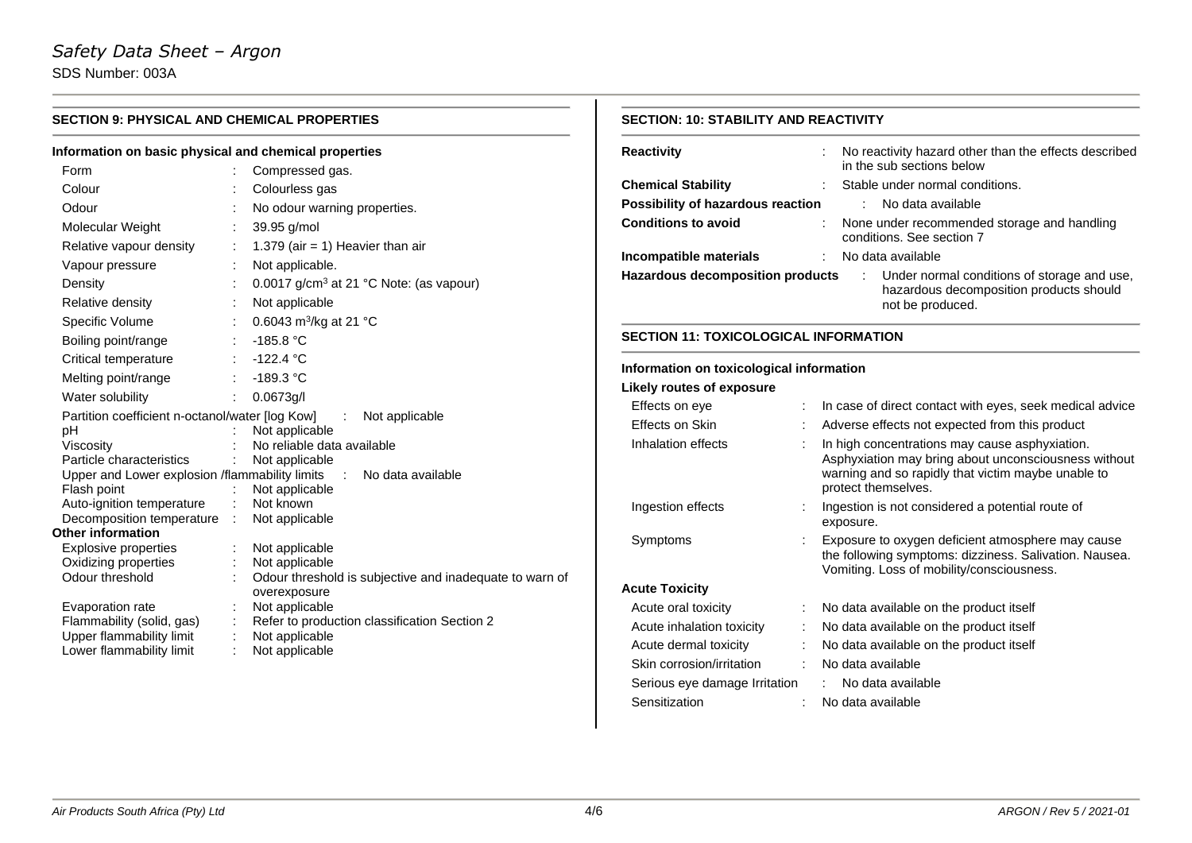# *Safety Data Sheet – Argon* SDS Number: 003A

**SECTION 9: PHYSICAL AND CHEMICAL PROPERTIES Information on basic physical and chemical properties** Form : Compressed gas. Colour : Colourless gas Odour : No odour warning properties. Molecular Weight : 39.95 g/mol Relative vapour density  $\therefore$  1.379 (air = 1) Heavier than air Vapour pressure : Not applicable. Density  $\therefore$  0.0017 g/cm<sup>3</sup> at 21 °C Note: (as vapour) Relative density **:** Not applicable Specific Volume 0.6043  $m^3$ /kg at 21 °C Boiling point/range : -185.8 °C Critical temperature : -122.4 °C Melting point/range : -189.3 °C Water solubility : 0.0673g/l Partition coefficient n-octanol/water [log Kow] : Not applicable<br>  $pH$  : Not applicable Not applicable Viscosity : No reliable data available Particle characteristics : Not applicable Upper and Lower explosion /flammability limits : No data available<br>Flash point : Not applicable  $\therefore$  Not applicable Auto-ignition temperature : Not known Decomposition temperature : Not applicable **Other information** Explosive properties : Not applicable<br>
Oxidizing properties : Not applicable Oxidizing properties Odour threshold : Odour threshold is subjective and inadequate to warn of overexposure Evaporation rate : Not applicable Flammability (solid, gas) : Refer to production classification Section 2<br>Upper flammability limit : Not applicable Upper flammability limit Lower flammability limit : Not applicable **SECTION: 10: STABILITY AND REACTIVITY Reactivity Reactivity Reactivity Reactivity** hazard other than the effects described in the sub sections below **Chemical Stability** : Stable under normal conditions. **Possibility of hazardous reaction** : No data available **Conditions to avoid** : None under recommended storage and handling conditions. See section 7 **Incompatible materials** : No data available **Hazardous decomposition products** : Under normal conditions of storage and use, hazardous decomposition products should not be produced. **SECTION 11: TOXICOLOGICAL INFORMATION Information on toxicological information Likely routes of exposure** Effects on eye : In case of direct contact with eyes, seek medical advice Effects on Skin : Adverse effects not expected from this product Inhalation effects : In high concentrations may cause asphyxiation. Asphyxiation may bring about unconsciousness without warning and so rapidly that victim maybe unable to protect themselves. Ingestion effects : Ingestion is not considered a potential route of exposure. Symptoms : Exposure to oxygen deficient atmosphere may cause the following symptoms: dizziness. Salivation. Nausea. Vomiting. Loss of mobility/consciousness. **Acute Toxicity** Acute oral toxicity : No data available on the product itself Acute inhalation toxicity : No data available on the product itself Acute dermal toxicity : No data available on the product itself Skin corrosion/irritation : No data available Serious eye damage Irritation : No data available Sensitization : No data available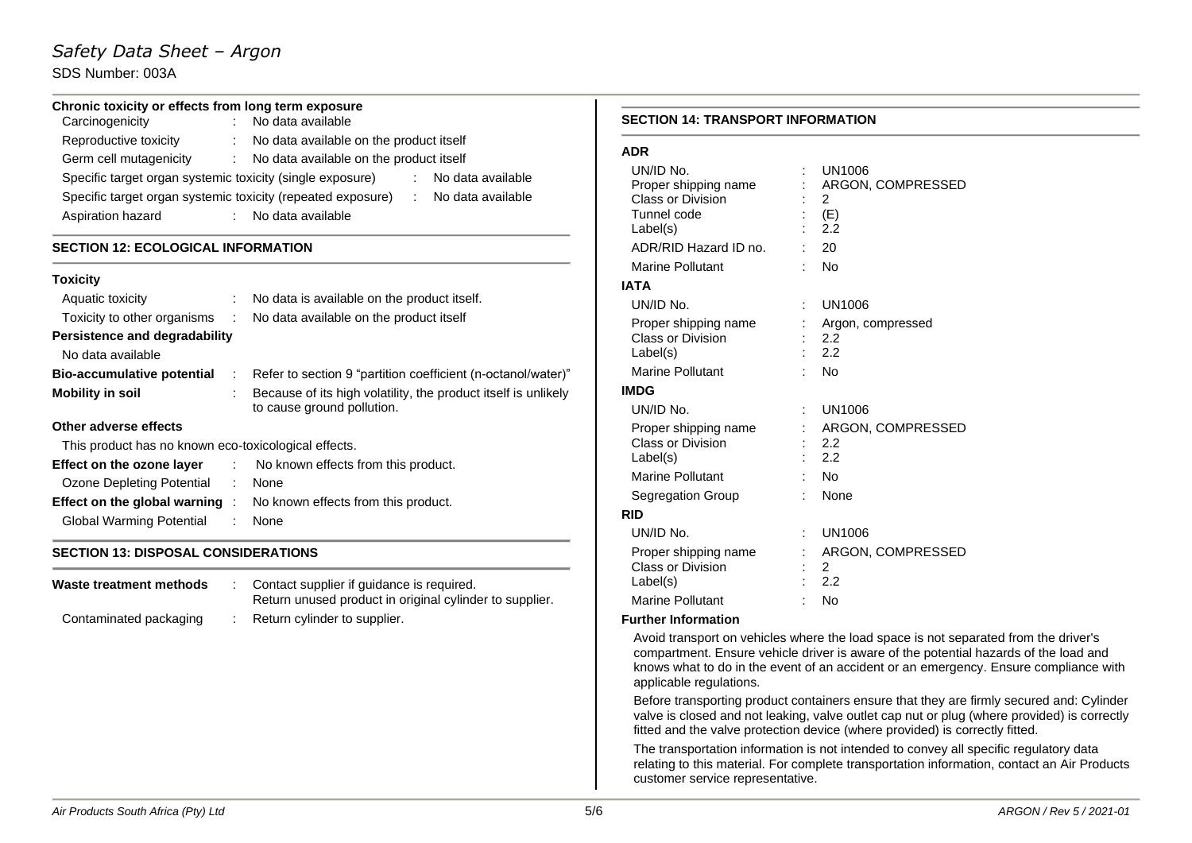# *Safety Data Sheet – Argon*

## SDS Number: 003A

## **Chronic toxicity or effects from long term exposure**

| Carcinogenicity                                             | No data available                         |                   |
|-------------------------------------------------------------|-------------------------------------------|-------------------|
| Reproductive toxicity                                       | : No data available on the product itself |                   |
| Germ cell mutagenicity                                      | : No data available on the product itself |                   |
| Specific target organ systemic toxicity (single exposure)   |                                           | No data available |
| Specific target organ systemic toxicity (repeated exposure) |                                           | No data available |
| Aspiration hazard                                           | : No data available                       |                   |

#### **SECTION 12: ECOLOGICAL INFORMATION**

# **Toxicity** Aquatic toxicity : No data is available on the product itself. Toxicity to other organisms : No data available on the product itself **Persistence and degradability** No data available **Bio-accumulative potential** : Refer to section 9 "partition coefficient (n-octanol/water)" **Mobility in soil** : Because of its high volatility, the product itself is unlikely to cause ground pollution. **Other adverse effects** This product has no known eco-toxicological effects.

| Effect on the ozone layer | No known effects from this product.                                       |
|---------------------------|---------------------------------------------------------------------------|
| Ozone Depleting Potential | : None                                                                    |
|                           | <b>Effect on the global warning</b> : No known effects from this product. |
| Global Warming Potential  | : None                                                                    |

## **SECTION 13: DISPOSAL CONSIDERATIONS**

| Waste treatment methods | Contact supplier if quidance is required.<br>Return unused product in original cylinder to supplier. |
|-------------------------|------------------------------------------------------------------------------------------------------|
| Contaminated packaging  | Return cylinder to supplier.                                                                         |

## **SECTION 14: TRANSPORT INFORMATION**

#### **ADR**

| UN/ID No.<br>Proper shipping name<br>Class or Division<br>Tunnel code<br>Label(s)             | UN1006<br>ARGON, COMPRESSED<br>2<br>(E)<br>2.2 |
|-----------------------------------------------------------------------------------------------|------------------------------------------------|
| ADR/RID Hazard ID no.                                                                         | 20                                             |
| Marine Pollutant                                                                              | No                                             |
| <b>IATA</b>                                                                                   |                                                |
| UN/ID No.                                                                                     | UN1006                                         |
| Proper shipping name<br><b>Class or Division</b><br>Label(s)                                  | Argon, compressed<br>2.2<br>2.2                |
| <b>Marine Pollutant</b>                                                                       | No                                             |
| <b>IMDG</b>                                                                                   |                                                |
| UN/ID No.                                                                                     | UN1006                                         |
| Proper shipping name<br><b>Class or Division</b><br>Label(s)                                  | ARGON, COMPRESSED<br>2.2<br>2.2                |
| Marine Pollutant                                                                              | No                                             |
| Segregation Group                                                                             | None                                           |
| <b>RID</b>                                                                                    |                                                |
| UN/ID No.<br>Proper shipping name<br>Class or Division<br>Label(s)<br><b>Marine Pollutant</b> | UN1006<br>ARGON, COMPRESSED<br>2<br>2.2<br>No  |
|                                                                                               |                                                |

#### **Further Information**

Avoid transport on vehicles where the load space is not separated from the driver's compartment. Ensure vehicle driver is aware of the potential hazards of the load and knows what to do in the event of an accident or an emergency. Ensure compliance with applicable regulations.

Before transporting product containers ensure that they are firmly secured and: Cylinder valve is closed and not leaking, valve outlet cap nut or plug (where provided) is correctly fitted and the valve protection device (where provided) is correctly fitted.

The transportation information is not intended to convey all specific regulatory data relating to this material. For complete transportation information, contact an Air Products customer service representative.